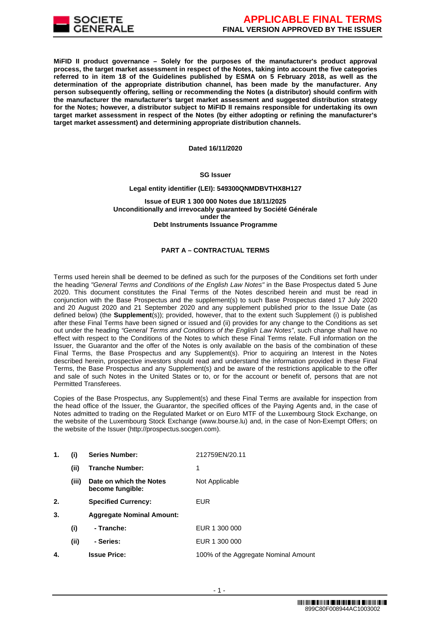

**MiFID II product governance – Solely for the purposes of the manufacturer's product approval process, the target market assessment in respect of the Notes, taking into account the five categories referred to in item 18 of the Guidelines published by ESMA on 5 February 2018, as well as the determination of the appropriate distribution channel, has been made by the manufacturer. Any person subsequently offering, selling or recommending the Notes (a distributor) should confirm with the manufacturer the manufacturer's target market assessment and suggested distribution strategy for the Notes; however, a distributor subject to MiFID II remains responsible for undertaking its own target market assessment in respect of the Notes (by either adopting or refining the manufacturer's target market assessment) and determining appropriate distribution channels.**

**Dated 16/11/2020**

# **SG Issuer**

#### **Legal entity identifier (LEI): 549300QNMDBVTHX8H127**

**Issue of EUR 1 300 000 Notes due 18/11/2025 Unconditionally and irrevocably guaranteed by Société Générale under the Debt Instruments Issuance Programme**

## **PART A – CONTRACTUAL TERMS**

Terms used herein shall be deemed to be defined as such for the purposes of the Conditions set forth under the heading *"General Terms and Conditions of the English Law Notes"* in the Base Prospectus dated 5 June 2020. This document constitutes the Final Terms of the Notes described herein and must be read in conjunction with the Base Prospectus and the supplement(s) to such Base Prospectus dated 17 July 2020 and 20 August 2020 and 21 September 2020 and any supplement published prior to the Issue Date (as defined below) (the **Supplement**(s)); provided, however, that to the extent such Supplement (i) is published after these Final Terms have been signed or issued and (ii) provides for any change to the Conditions as set out under the heading *"General Terms and Conditions of the English Law Notes"*, such change shall have no effect with respect to the Conditions of the Notes to which these Final Terms relate. Full information on the Issuer, the Guarantor and the offer of the Notes is only available on the basis of the combination of these Final Terms, the Base Prospectus and any Supplement(s). Prior to acquiring an Interest in the Notes described herein, prospective investors should read and understand the information provided in these Final Terms, the Base Prospectus and any Supplement(s) and be aware of the restrictions applicable to the offer and sale of such Notes in the United States or to, or for the account or benefit of, persons that are not Permitted Transferees.

Copies of the Base Prospectus, any Supplement(s) and these Final Terms are available for inspection from the head office of the Issuer, the Guarantor, the specified offices of the Paying Agents and, in the case of Notes admitted to trading on the Regulated Market or on Euro MTF of the Luxembourg Stock Exchange, on the website of the Luxembourg Stock Exchange (www.bourse.lu) and, in the case of Non-Exempt Offers; on the website of the Issuer (http://prospectus.socgen.com).

| 1. | (i)   | <b>Series Number:</b>                       | 212759EN/20.11                       |
|----|-------|---------------------------------------------|--------------------------------------|
|    | (ii)  | <b>Tranche Number:</b>                      | 1                                    |
|    | (iii) | Date on which the Notes<br>become fungible: | Not Applicable                       |
| 2. |       | <b>Specified Currency:</b>                  | <b>EUR</b>                           |
| 3. |       | <b>Aggregate Nominal Amount:</b>            |                                      |
|    | (i)   | - Tranche:                                  | EUR 1 300 000                        |
|    | (ii)  | - Series:                                   | EUR 1 300 000                        |
| 4. |       | <b>Issue Price:</b>                         | 100% of the Aggregate Nominal Amount |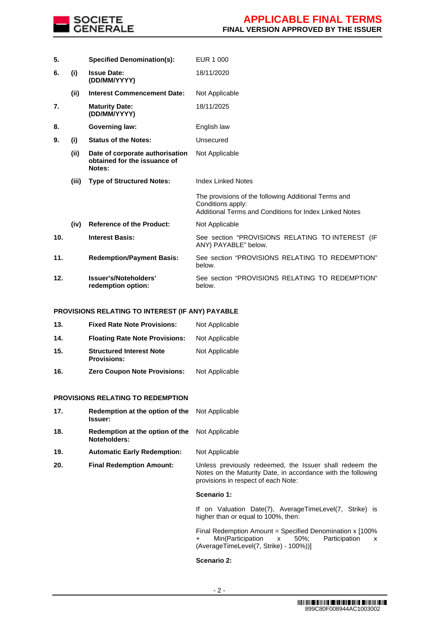

| 5.  |       | <b>Specified Denomination(s):</b>                                         | EUR 1 000                                                                                                                           |
|-----|-------|---------------------------------------------------------------------------|-------------------------------------------------------------------------------------------------------------------------------------|
| 6.  | (i)   | <b>Issue Date:</b><br>(DD/MM/YYYY)                                        | 18/11/2020                                                                                                                          |
|     | (ii)  | <b>Interest Commencement Date:</b>                                        | Not Applicable                                                                                                                      |
| 7.  |       | <b>Maturity Date:</b><br>(DD/MM/YYYY)                                     | 18/11/2025                                                                                                                          |
| 8.  |       | <b>Governing law:</b>                                                     | English law                                                                                                                         |
| 9.  | (i)   | <b>Status of the Notes:</b>                                               | Unsecured                                                                                                                           |
|     | (ii)  | Date of corporate authorisation<br>obtained for the issuance of<br>Notes: | Not Applicable                                                                                                                      |
|     | (iii) | <b>Type of Structured Notes:</b>                                          | <b>Index Linked Notes</b>                                                                                                           |
|     |       |                                                                           | The provisions of the following Additional Terms and<br>Conditions apply:<br>Additional Terms and Conditions for Index Linked Notes |
|     | (iv)  | <b>Reference of the Product:</b>                                          | Not Applicable                                                                                                                      |
| 10. |       | <b>Interest Basis:</b>                                                    | See section "PROVISIONS RELATING TO INTEREST (IF<br>ANY) PAYABLE" below.                                                            |
| 11. |       | <b>Redemption/Payment Basis:</b>                                          | See section "PROVISIONS RELATING TO REDEMPTION"<br>below.                                                                           |
| 12. |       | Issuer's/Noteholders'<br>redemption option:                               | See section "PROVISIONS RELATING TO REDEMPTION"<br>below.                                                                           |

# **PROVISIONS RELATING TO INTEREST (IF ANY) PAYABLE**

| 13. | <b>Fixed Rate Note Provisions:</b>                    | Not Applicable |
|-----|-------------------------------------------------------|----------------|
| 14. | <b>Floating Rate Note Provisions:</b>                 | Not Applicable |
| 15. | <b>Structured Interest Note</b><br><b>Provisions:</b> | Not Applicable |
| 16. | <b>Zero Coupon Note Provisions:</b>                   | Not Applicable |

#### **PROVISIONS RELATING TO REDEMPTION**

| 17. | <b>Redemption at the option of the</b> Not Applicable<br><b>Issuer:</b> |                                                                                                                                                                |  |
|-----|-------------------------------------------------------------------------|----------------------------------------------------------------------------------------------------------------------------------------------------------------|--|
| 18. | <b>Redemption at the option of the</b> Not Applicable<br>Noteholders:   |                                                                                                                                                                |  |
| 19. | <b>Automatic Early Redemption:</b>                                      | Not Applicable                                                                                                                                                 |  |
| 20. | <b>Final Redemption Amount:</b>                                         | Unless previously redeemed, the Issuer shall redeem the<br>Notes on the Maturity Date, in accordance with the following<br>provisions in respect of each Note: |  |
|     |                                                                         | Scenario 1:                                                                                                                                                    |  |
|     |                                                                         | If on Valuation Date(7), AverageTimeLevel(7, Strike) is<br>higher than or equal to 100%, then:                                                                 |  |

Final Redemption Amount = Specified Denomination x [100% + Min(Participation x 50%; Participation x (AverageTimeLevel(7, Strike) - 100%))]

# **Scenario 2:**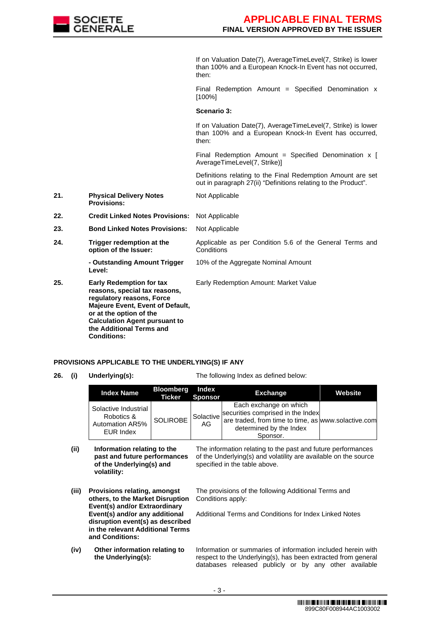

If on Valuation Date(7), AverageTimeLevel(7, Strike) is lower than 100% and a European Knock-In Event has not occurred, then:

Final Redemption Amount = Specified Denomination  $x$ [100%]

## **Scenario 3:**

Not Applicable

If on Valuation Date(7), AverageTimeLevel(7, Strike) is lower than 100% and a European Knock-In Event has occurred, then:

Final Redemption Amount = Specified Denomination  $x \upharpoonright$ AverageTimeLevel(7, Strike)]

Definitions relating to the Final Redemption Amount are set out in paragraph 27(ii) "Definitions relating to the Product".

- **21. Physical Delivery Notes Provisions:**
- **22. Credit Linked Notes Provisions:** Not Applicable
- **23. Bond Linked Notes Provisions:** Not Applicable
- **24. Trigger redemption at the option of the Issuer:** Applicable as per Condition 5.6 of the General Terms and **Conditions** 10% of the Aggregate Nominal Amount

**- Outstanding Amount Trigger Level:**

**25. Early Redemption for tax reasons, special tax reasons, regulatory reasons, Force Majeure Event, Event of Default, or at the option of the Calculation Agent pursuant to the Additional Terms and Conditions:** Early Redemption Amount: Market Value

**PROVISIONS APPLICABLE TO THE UNDERLYING(S) IF ANY 26. (i) Underlying(s):** The following Index as defined below:

> **Index Name Bloomberg Ticker Index Sponsor Exchange Website** Solactive Industrial Robotics & Automation AR5% EUR Index SOLIROBE<sup>Solactive</sup> AG Each exchange on which securities comprised in the Index are traded, from time to time, as www.solactive.com determined by the Index Sponsor.

> > specified in the table above.

- **(ii) Information relating to the past and future performances of the Underlying(s) and volatility:**
- **(iii) Provisions relating, amongst others, to the Market Disruption**  The provisions of the following Additional Terms and Conditions apply:
	- **Event(s) and/or Extraordinary Event(s) and/or any additional disruption event(s) as described in the relevant Additional Terms and Conditions:** Additional Terms and Conditions for Index Linked Notes
- **(iv) Other information relating to the Underlying(s):**

Information or summaries of information included herein with respect to the Underlying(s), has been extracted from general databases released publicly or by any other available

The information relating to the past and future performances of the Underlying(s) and volatility are available on the source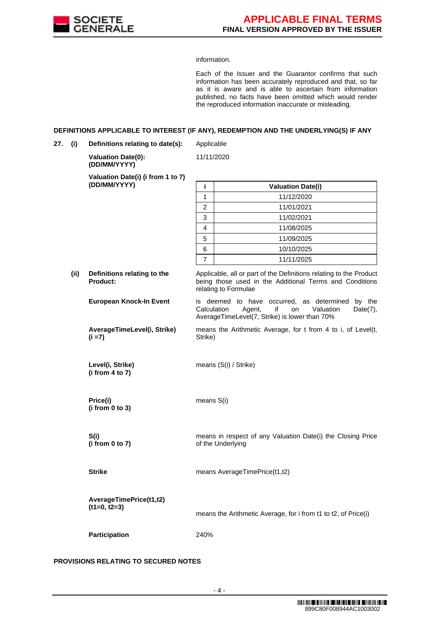

information.

Each of the Issuer and the Guarantor confirms that such information has been accurately reproduced and that, so far as it is aware and is able to ascertain from information published, no facts have been omitted which would render the reproduced information inaccurate or misleading.

## **DEFINITIONS APPLICABLE TO INTEREST (IF ANY), REDEMPTION AND THE UNDERLYING(S) IF ANY**

**27. (i) Definitions relating to date(s):** Applicable

11/11/2020

**Valuation Date(0): (DD/MM/YYYY)**

**Valuation Date(i) (i from 1 to 7)**

|                                           | (DD/MM/YYYY)                            | i                                                                                                                                                     | <b>Valuation Date(i)</b>                                                                                                                            |  |  |
|-------------------------------------------|-----------------------------------------|-------------------------------------------------------------------------------------------------------------------------------------------------------|-----------------------------------------------------------------------------------------------------------------------------------------------------|--|--|
|                                           |                                         | 1                                                                                                                                                     | 11/12/2020                                                                                                                                          |  |  |
|                                           |                                         | $\overline{2}$                                                                                                                                        | 11/01/2021                                                                                                                                          |  |  |
|                                           |                                         | 3                                                                                                                                                     | 11/02/2021                                                                                                                                          |  |  |
|                                           |                                         | 4                                                                                                                                                     | 11/08/2025                                                                                                                                          |  |  |
|                                           |                                         | 5                                                                                                                                                     | 11/09/2025                                                                                                                                          |  |  |
|                                           |                                         | 6                                                                                                                                                     | 10/10/2025                                                                                                                                          |  |  |
|                                           |                                         | $\overline{7}$                                                                                                                                        | 11/11/2025                                                                                                                                          |  |  |
| (ii)                                      | Definitions relating to the<br>Product: | Applicable, all or part of the Definitions relating to the Product<br>being those used in the Additional Terms and Conditions<br>relating to Formulae |                                                                                                                                                     |  |  |
|                                           | <b>European Knock-In Event</b>          | Calculation                                                                                                                                           | is deemed to have occurred, as determined by the<br>Agent,<br>Valuation<br>if<br>$Date(7)$ ,<br>on<br>AverageTimeLevel(7, Strike) is lower than 70% |  |  |
| AverageTimeLevel(i, Strike)<br>$(i = 7)$  |                                         | means the Arithmetic Average, for t from 4 to i, of Level(t,<br>Strike)                                                                               |                                                                                                                                                     |  |  |
|                                           | Level(i, Strike)<br>(i from 4 to 7)     |                                                                                                                                                       | means (S(i) / Strike)                                                                                                                               |  |  |
|                                           | Price(i)<br>(i from 0 to 3)             | means S(i)                                                                                                                                            |                                                                                                                                                     |  |  |
|                                           | S(i)<br>(i from 0 to 7)                 |                                                                                                                                                       | means in respect of any Valuation Date(i) the Closing Price<br>of the Underlying                                                                    |  |  |
|                                           | <b>Strike</b>                           |                                                                                                                                                       | means AverageTimePrice(t1,t2)                                                                                                                       |  |  |
| AverageTimePrice(t1,t2)<br>$(t1=0, t2=3)$ |                                         |                                                                                                                                                       | means the Arithmetic Average, for i from t1 to t2, of Price(i)                                                                                      |  |  |

# **PROVISIONS RELATING TO SECURED NOTES**

**Participation** 240%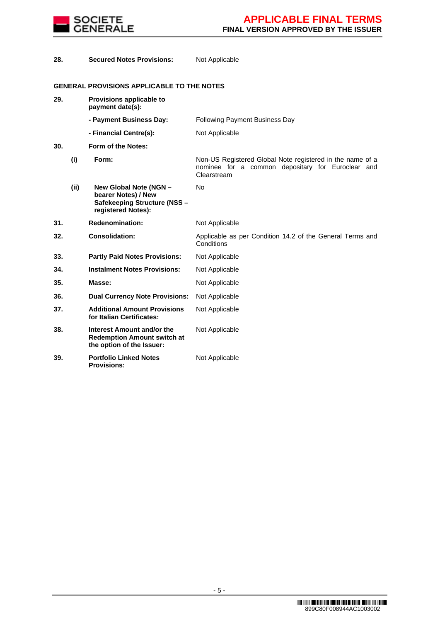

| 28. |      | <b>Secured Notes Provisions:</b>                                                                    | Not Applicable                                                                                                                |
|-----|------|-----------------------------------------------------------------------------------------------------|-------------------------------------------------------------------------------------------------------------------------------|
|     |      | <b>GENERAL PROVISIONS APPLICABLE TO THE NOTES</b>                                                   |                                                                                                                               |
| 29. |      | Provisions applicable to<br>payment date(s):                                                        |                                                                                                                               |
|     |      | - Payment Business Day:                                                                             | <b>Following Payment Business Day</b>                                                                                         |
|     |      | - Financial Centre(s):                                                                              | Not Applicable                                                                                                                |
| 30. |      | Form of the Notes:                                                                                  |                                                                                                                               |
|     | (i)  | Form:                                                                                               | Non-US Registered Global Note registered in the name of a<br>nominee for a common depositary for Euroclear and<br>Clearstream |
|     | (ii) | New Global Note (NGN -<br>bearer Notes) / New<br>Safekeeping Structure (NSS -<br>registered Notes): | No.                                                                                                                           |
| 31. |      | <b>Redenomination:</b>                                                                              | Not Applicable                                                                                                                |
| 32. |      | <b>Consolidation:</b>                                                                               | Applicable as per Condition 14.2 of the General Terms and<br>Conditions                                                       |
| 33. |      | <b>Partly Paid Notes Provisions:</b>                                                                | Not Applicable                                                                                                                |
| 34. |      | <b>Instalment Notes Provisions:</b>                                                                 | Not Applicable                                                                                                                |
| 35. |      | Masse:                                                                                              | Not Applicable                                                                                                                |
| 36. |      | <b>Dual Currency Note Provisions:</b>                                                               | Not Applicable                                                                                                                |
| 37. |      | <b>Additional Amount Provisions</b><br>for Italian Certificates:                                    | Not Applicable                                                                                                                |
| 38. |      | Interest Amount and/or the<br><b>Redemption Amount switch at</b><br>the option of the Issuer:       | Not Applicable                                                                                                                |
| 39. |      | <b>Portfolio Linked Notes</b><br><b>Provisions:</b>                                                 | Not Applicable                                                                                                                |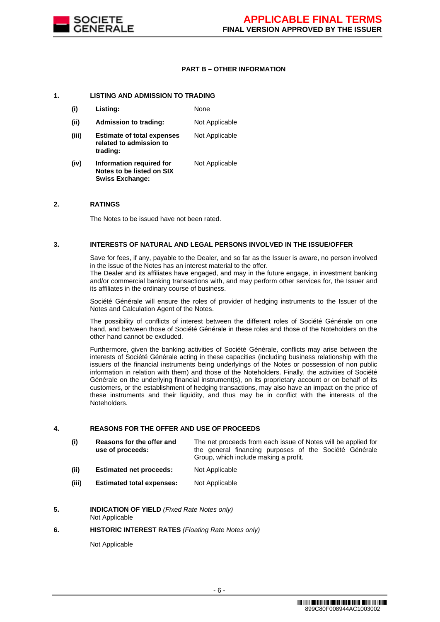

# **PART B – OTHER INFORMATION**

## **1. LISTING AND ADMISSION TO TRADING**

**Swiss Exchange:**

**(i) Listing:** None **(ii) Admission to trading:** Not Applicable **(iii) Estimate of total expenses related to admission to trading:** Not Applicable **(iv) Information required for Notes to be listed on SIX**  Not Applicable

## **2. RATINGS**

The Notes to be issued have not been rated.

#### **3. INTERESTS OF NATURAL AND LEGAL PERSONS INVOLVED IN THE ISSUE/OFFER**

Save for fees, if any, payable to the Dealer, and so far as the Issuer is aware, no person involved in the issue of the Notes has an interest material to the offer.

The Dealer and its affiliates have engaged, and may in the future engage, in investment banking and/or commercial banking transactions with, and may perform other services for, the Issuer and its affiliates in the ordinary course of business.

Société Générale will ensure the roles of provider of hedging instruments to the Issuer of the Notes and Calculation Agent of the Notes.

The possibility of conflicts of interest between the different roles of Société Générale on one hand, and between those of Société Générale in these roles and those of the Noteholders on the other hand cannot be excluded.

Furthermore, given the banking activities of Société Générale, conflicts may arise between the interests of Société Générale acting in these capacities (including business relationship with the issuers of the financial instruments being underlyings of the Notes or possession of non public information in relation with them) and those of the Noteholders. Finally, the activities of Société Générale on the underlying financial instrument(s), on its proprietary account or on behalf of its customers, or the establishment of hedging transactions, may also have an impact on the price of these instruments and their liquidity, and thus may be in conflict with the interests of the Noteholders.

## **4. REASONS FOR THE OFFER AND USE OF PROCEEDS**

| (i) | Reasons for the offer and |                                       |  |  |  |  | The net proceeds from each issue of Notes will be applied for |
|-----|---------------------------|---------------------------------------|--|--|--|--|---------------------------------------------------------------|
|     | use of proceeds:          |                                       |  |  |  |  | the general financing purposes of the Société Générale        |
|     |                           | Group, which include making a profit. |  |  |  |  |                                                               |

- **(ii) Estimated net proceeds:** Not Applicable
- **(iii) Estimated total expenses:** Not Applicable
- **5. INDICATION OF YIELD** *(Fixed Rate Notes only)* Not Applicable

#### **6. HISTORIC INTEREST RATES** *(Floating Rate Notes only)*

Not Applicable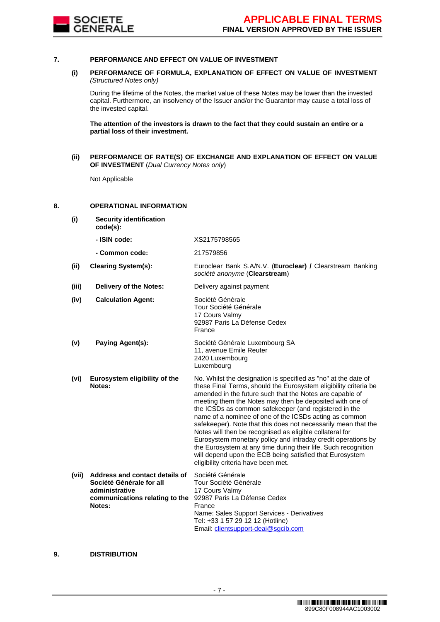

### **7. PERFORMANCE AND EFFECT ON VALUE OF INVESTMENT**

## **(i) PERFORMANCE OF FORMULA, EXPLANATION OF EFFECT ON VALUE OF INVESTMENT**  *(Structured Notes only)*

During the lifetime of the Notes, the market value of these Notes may be lower than the invested capital. Furthermore, an insolvency of the Issuer and/or the Guarantor may cause a total loss of the invested capital.

**The attention of the investors is drawn to the fact that they could sustain an entire or a partial loss of their investment.**

**(ii) PERFORMANCE OF RATE(S) OF EXCHANGE AND EXPLANATION OF EFFECT ON VALUE OF INVESTMENT** (*Dual Currency Notes only*)

Not Applicable

# **8. OPERATIONAL INFORMATION**

**(i) Security identification code(s): - ISIN code:** XS2175798565

**- Common code:** 217579856

**(ii) Clearing System(s):** Euroclear Bank S.A/N.V. (**Euroclear) /** Clearstream Banking *société anonyme* (**Clearstream**)

**(iii) Delivery of the Notes:** Delivery against payment

| (iv) | <b>Calculation Agent:</b>               | Société Générale<br>Tour Société Générale<br>17 Cours Valmy<br>92987 Paris La Défense Cedex<br>France                                                                                                                                                                                                              |
|------|-----------------------------------------|--------------------------------------------------------------------------------------------------------------------------------------------------------------------------------------------------------------------------------------------------------------------------------------------------------------------|
| (v)  | Paying Agent(s):                        | Société Générale Luxembourg SA<br>11, avenue Emile Reuter<br>2420 Luxembourg<br>Luxembourg                                                                                                                                                                                                                         |
| (vi) | Eurosystem eligibility of the<br>Notes: | No. Whilst the designation is specified as "no" at the date of<br>these Final Terms, should the Eurosystem eligibility criteria b<br>amended in the future such that the Notes are capable of<br>meeting them the Notes may then be deposited with one of<br>the ICCDs as common sofokeeper (and registered in the |

eligibility criteria be are capable of sited with one of the ICSDs as common safekeeper (and registered in the name of a nominee of one of the ICSDs acting as common safekeeper). Note that this does not necessarily mean that the Notes will then be recognised as eligible collateral for Eurosystem monetary policy and intraday credit operations by the Eurosystem at any time during their life. Such recognition will depend upon the ECB being satisfied that Eurosystem eligibility criteria have been met.

| (vii) | Address and contact details of Société Générale |                                            |
|-------|-------------------------------------------------|--------------------------------------------|
|       | Société Générale for all                        | Tour Société Générale                      |
|       | administrative                                  | 17 Cours Valmy                             |
|       | communications relating to the                  | 92987 Paris La Défense Cedex               |
|       | Notes:                                          | France                                     |
|       |                                                 | Name: Sales Support Services - Derivatives |
|       |                                                 | Tel: +33 1 57 29 12 12 (Hotline)           |
|       |                                                 | Email: clientsupport-deai@sgcib.com        |

## **9. DISTRIBUTION**